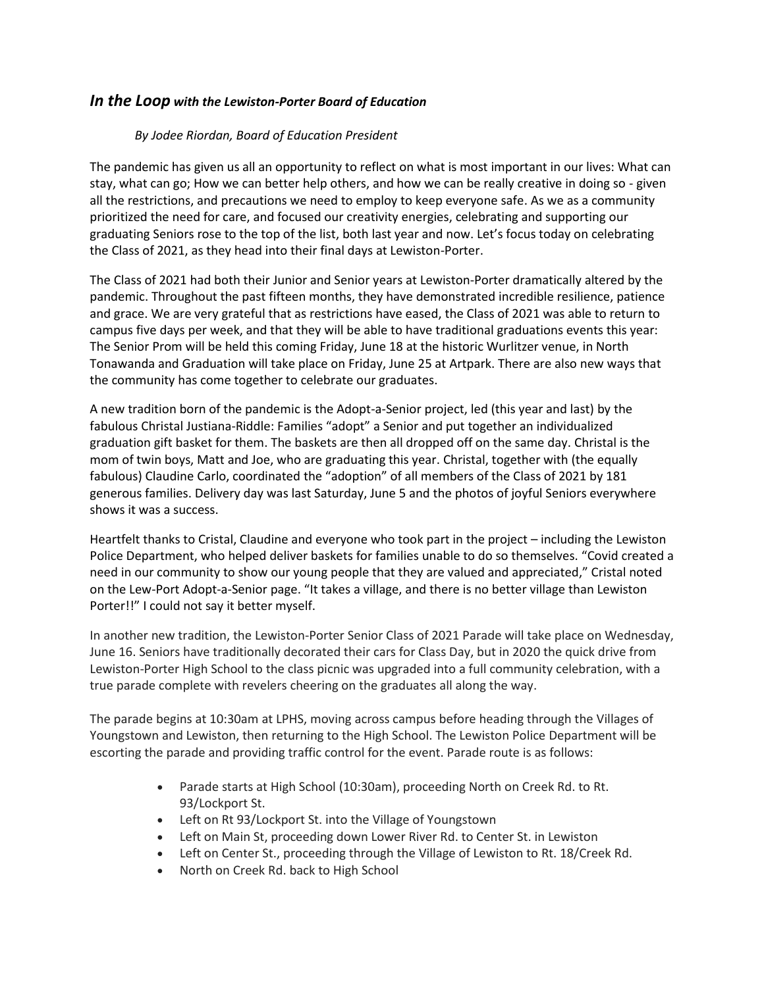## *In the Loop with the Lewiston-Porter Board of Education*

## *By Jodee Riordan, Board of Education President*

The pandemic has given us all an opportunity to reflect on what is most important in our lives: What can stay, what can go; How we can better help others, and how we can be really creative in doing so - given all the restrictions, and precautions we need to employ to keep everyone safe. As we as a community prioritized the need for care, and focused our creativity energies, celebrating and supporting our graduating Seniors rose to the top of the list, both last year and now. Let's focus today on celebrating the Class of 2021, as they head into their final days at Lewiston-Porter.

The Class of 2021 had both their Junior and Senior years at Lewiston-Porter dramatically altered by the pandemic. Throughout the past fifteen months, they have demonstrated incredible resilience, patience and grace. We are very grateful that as restrictions have eased, the Class of 2021 was able to return to campus five days per week, and that they will be able to have traditional graduations events this year: The Senior Prom will be held this coming Friday, June 18 at the historic Wurlitzer venue, in North Tonawanda and Graduation will take place on Friday, June 25 at Artpark. There are also new ways that the community has come together to celebrate our graduates.

A new tradition born of the pandemic is the Adopt-a-Senior project, led (this year and last) by the fabulous Christal Justiana-Riddle: Families "adopt" a Senior and put together an individualized graduation gift basket for them. The baskets are then all dropped off on the same day. Christal is the mom of twin boys, Matt and Joe, who are graduating this year. Christal, together with (the equally fabulous) Claudine Carlo, coordinated the "adoption" of all members of the Class of 2021 by 181 generous families. Delivery day was last Saturday, June 5 and the photos of joyful Seniors everywhere shows it was a success.

Heartfelt thanks to Cristal, Claudine and everyone who took part in the project – including the Lewiston Police Department, who helped deliver baskets for families unable to do so themselves. "Covid created a need in our community to show our young people that they are valued and appreciated," Cristal noted on the Lew-Port Adopt-a-Senior page. "It takes a village, and there is no better village than Lewiston Porter!!" I could not say it better myself.

In another new tradition, the Lewiston-Porter Senior Class of 2021 Parade will take place on Wednesday, June 16. Seniors have traditionally decorated their cars for Class Day, but in 2020 the quick drive from Lewiston-Porter High School to the class picnic was upgraded into a full community celebration, with a true parade complete with revelers cheering on the graduates all along the way.

The parade begins at 10:30am at LPHS, moving across campus before heading through the Villages of Youngstown and Lewiston, then returning to the High School. The Lewiston Police Department will be escorting the parade and providing traffic control for the event. Parade route is as follows:

- Parade starts at High School (10:30am), proceeding North on Creek Rd. to Rt. 93/Lockport St.
- Left on Rt 93/Lockport St. into the Village of Youngstown
- Left on Main St, proceeding down Lower River Rd. to Center St. in Lewiston
- Left on Center St., proceeding through the Village of Lewiston to Rt. 18/Creek Rd.
- North on Creek Rd. back to High School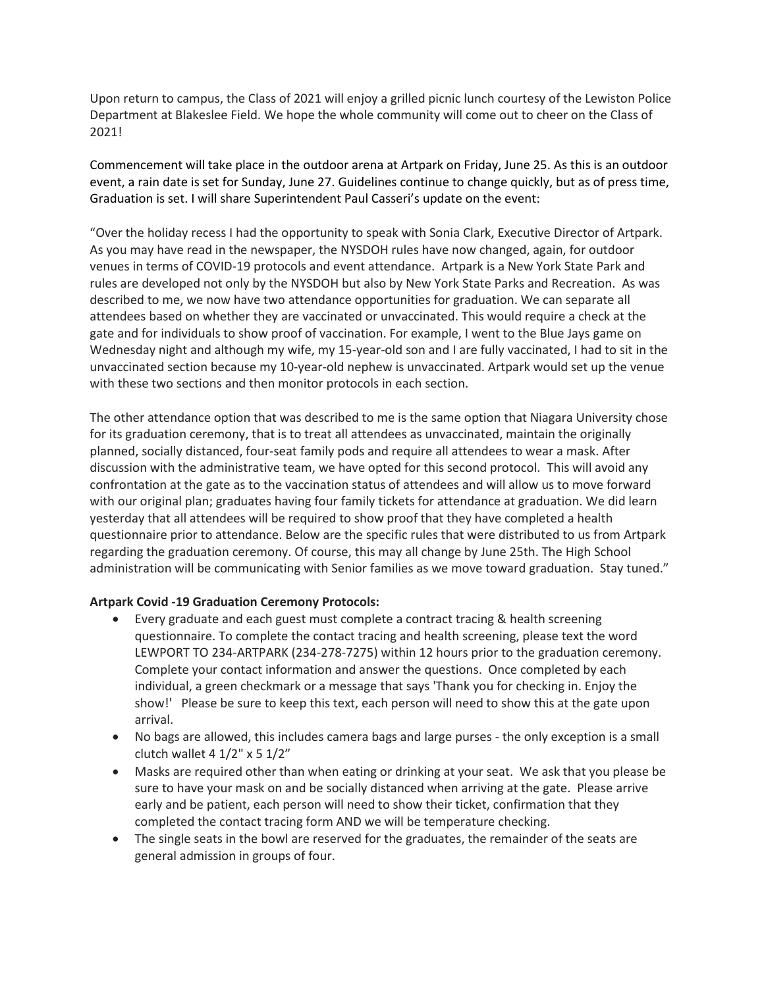Upon return to campus, the Class of 2021 will enjoy a grilled picnic lunch courtesy of the Lewiston Police Department at Blakeslee Field. We hope the whole community will come out to cheer on the Class of 2021!

Commencement will take place in the outdoor arena at Artpark on Friday, June 25. As this is an outdoor event, a rain date is set for Sunday, June 27. Guidelines continue to change quickly, but as of press time, Graduation is set. I will share Superintendent Paul Casseri's update on the event:

"Over the holiday recess I had the opportunity to speak with Sonia Clark, Executive Director of Artpark. As you may have read in the newspaper, the NYSDOH rules have now changed, again, for outdoor venues in terms of COVID-19 protocols and event attendance. Artpark is a New York State Park and rules are developed not only by the NYSDOH but also by New York State Parks and Recreation. As was described to me, we now have two attendance opportunities for graduation. We can separate all attendees based on whether they are vaccinated or unvaccinated. This would require a check at the gate and for individuals to show proof of vaccination. For example, I went to the Blue Jays game on Wednesday night and although my wife, my 15-year-old son and I are fully vaccinated, I had to sit in the unvaccinated section because my 10-year-old nephew is unvaccinated. Artpark would set up the venue with these two sections and then monitor protocols in each section.

The other attendance option that was described to me is the same option that Niagara University chose for its graduation ceremony, that is to treat all attendees as unvaccinated, maintain the originally planned, socially distanced, four-seat family pods and require all attendees to wear a mask. After discussion with the administrative team, we have opted for this second protocol. This will avoid any confrontation at the gate as to the vaccination status of attendees and will allow us to move forward with our original plan; graduates having four family tickets for attendance at graduation. We did learn yesterday that all attendees will be required to show proof that they have completed a health questionnaire prior to attendance. Below are the specific rules that were distributed to us from Artpark regarding the graduation ceremony. Of course, this may all change by June 25th. The High School administration will be communicating with Senior families as we move toward graduation. Stay tuned."

## **Artpark Covid -19 Graduation Ceremony Protocols:**

- Every graduate and each guest must complete a contract tracing & health screening questionnaire. To complete the contact tracing and health screening, please text the word LEWPORT TO 234-ARTPARK (234-278-7275) within 12 hours prior to the graduation ceremony. Complete your contact information and answer the questions. Once completed by each individual, a green checkmark or a message that says 'Thank you for checking in. Enjoy the show!' Please be sure to keep this text, each person will need to show this at the gate upon arrival.
- No bags are allowed, this includes camera bags and large purses the only exception is a small clutch wallet 4 1/2" x 5 1/2"
- Masks are required other than when eating or drinking at your seat. We ask that you please be sure to have your mask on and be socially distanced when arriving at the gate. Please arrive early and be patient, each person will need to show their ticket, confirmation that they completed the contact tracing form AND we will be temperature checking.
- The single seats in the bowl are reserved for the graduates, the remainder of the seats are general admission in groups of four.